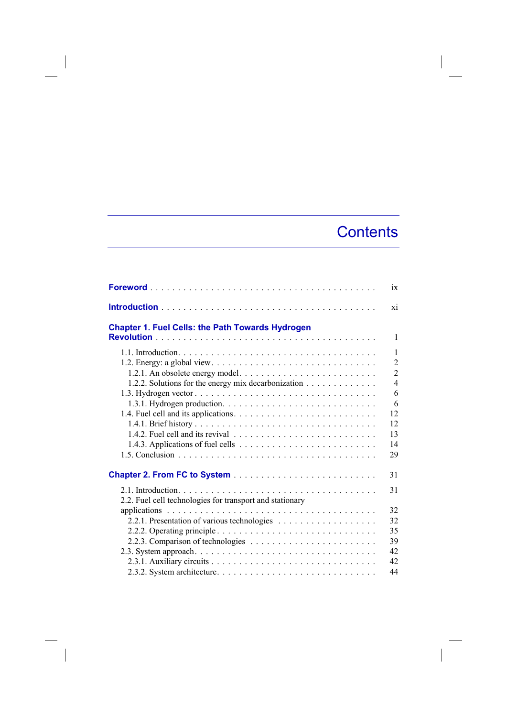## **Contents**

|                                                          | $\overline{1}X$ |
|----------------------------------------------------------|-----------------|
|                                                          | X1              |
| <b>Chapter 1. Fuel Cells: the Path Towards Hydrogen</b>  | $\mathbf{1}$    |
|                                                          |                 |
|                                                          | $\mathbf{1}$    |
|                                                          | $\overline{2}$  |
|                                                          | $\overline{2}$  |
| 1.2.2. Solutions for the energy mix decarbonization      | $\overline{4}$  |
|                                                          | 6               |
|                                                          | 6               |
|                                                          | 12              |
|                                                          | 12              |
|                                                          | 13              |
|                                                          | 14              |
|                                                          | 29              |
|                                                          | 31              |
|                                                          | 31              |
| 2.2. Fuel cell technologies for transport and stationary |                 |
|                                                          | 32              |
|                                                          | 32              |
|                                                          | 35              |
|                                                          | 39              |
|                                                          | 42              |
|                                                          | 42              |
|                                                          | 44              |

 $\overline{\phantom{a}}$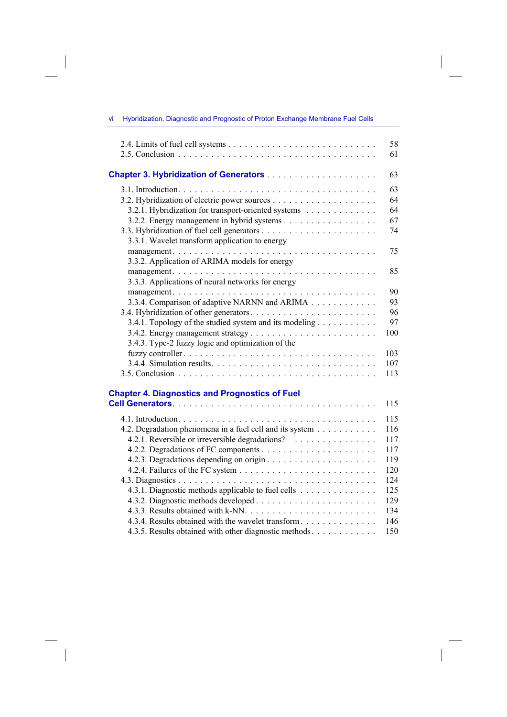| <u> 1980 - Johann Barnett, fransk politiker (</u>                                                           |            |
|-------------------------------------------------------------------------------------------------------------|------------|
|                                                                                                             | 58<br>61   |
|                                                                                                             | 63         |
|                                                                                                             | 63         |
|                                                                                                             | 64         |
| 3.2.1. Hybridization for transport-oriented systems                                                         | 64         |
| 3.2.2. Energy management in hybrid systems                                                                  | 67         |
|                                                                                                             | 74         |
| 3.3.1. Wavelet transform application to energy                                                              |            |
|                                                                                                             | 75         |
| 3.3.2. Application of ARIMA models for energy                                                               |            |
|                                                                                                             | 85         |
| 3.3.3. Applications of neural networks for energy                                                           |            |
|                                                                                                             | 90         |
| 3.3.4. Comparison of adaptive NARNN and ARIMA                                                               | 93         |
|                                                                                                             | 96         |
| 3.4.1. Topology of the studied system and its modeling                                                      | 97<br>100  |
|                                                                                                             |            |
| 3.4.3. Type-2 fuzzy logic and optimization of the                                                           | 103        |
|                                                                                                             | 107        |
|                                                                                                             | 113        |
|                                                                                                             |            |
| <b>Chapter 4. Diagnostics and Prognostics of Fuel</b>                                                       |            |
|                                                                                                             | 115        |
|                                                                                                             |            |
|                                                                                                             | 115        |
| 4.2. Degradation phenomena in a fuel cell and its system<br>4.2.1. Reversible or irreversible degradations? | 116<br>117 |
|                                                                                                             | 117        |
|                                                                                                             | 119        |
|                                                                                                             | 120        |
|                                                                                                             | 124        |
| 4.3.1. Diagnostic methods applicable to fuel cells                                                          | 125        |
|                                                                                                             | 129        |
|                                                                                                             | 134        |
| 4.3.4. Results obtained with the wavelet transform                                                          | 146        |
| 4.3.5. Results obtained with other diagnostic methods                                                       | 150        |

 $\overline{\phantom{a}}$ 

vi Hybridization, Diagnostic and Prognostic of Proton Exchange Membrane Fuel Cells